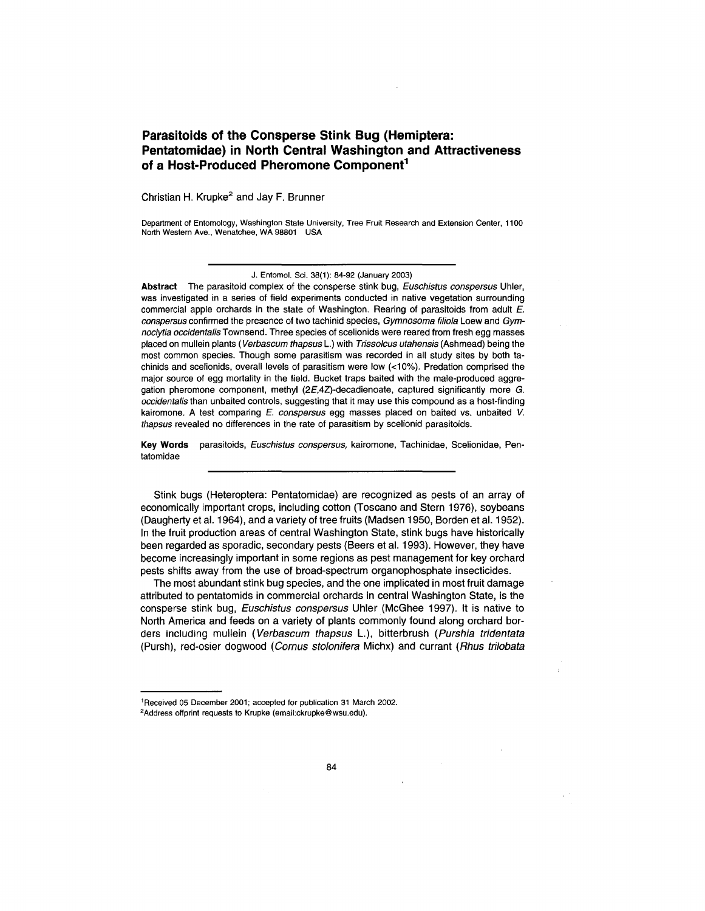# **Parasitolds of the Consperse Stink Bug (Hemiptera: Pentatomidae) in North Central Washington and Attractiveness of a Host-Produced Pheromone Component<sup>1</sup>**

Christian H. Krupke<sup>2</sup> and Jay F. Brunner

Department of Entomology, Washington State University, Tree Fruit Research and Extension Center, 1100 North Western Ave., Wenatchee, WA 98801 USA

J. Entomol. Sci. 38(1): 84-92 (January 2003)

**Abstract** The parasitoid complex of the consperse stink bug, Euschistus conspersus Uhler, was investigated in a series of field experiments conducted in native vegetation surrounding commercial apple orchards in the state of Washington. Rearing of parasitoids from adult  $E$ . conspersus confirmed the presence of two tachinid species, Gymnosoma filiola Loew and Gymnoclytia occidentalis Townsend. Three species of scelionids were reared from fresh egg masses placed on mullein plants (Verbascum thapsus L.) with Trissolcus utahensis (Ashmead) being the most common species. Though some parasitism was recorded in all study sites by both tachinids and scelionids, overall levels of parasitism were low (<10%). Predation comprised the major source of egg mortality in the field. Bucket traps baited with the male-produced aggregation pheromone component, methyl (2E,4Z)-decadienoate, captured significantly more G. occidentalis than unbaited controls, suggesting that it may use this compound as a host-finding kairomone. A test comparing E. conspersus egg masses placed on baited vs. unbaited V. thapsus revealed no differences in the rate of parasitism by scelionid parasitoids.

**Key Words** parasitoids, Euschistus conspersus, kairomone, Tachinidae, Scelionidae, Pentatomidae

Stink bugs (Heteroptera: Pentatomidae) are recognized as pests of an array of economically important crops, including cotton (Toscano and Stern 1976), soybeans (Daugherty et al. 1964), and a variety of tree fruits (Madsen 1950, Borden et al. 1952). In the fruit production areas of central Washington State, stink bugs have historically been regarded as sporadic, secondary pests (Beers et al. 1993). However, they have become increasingly important in some regions as pest management for key orchard pests shifts away from the use of broad-spectrum organophosphate insecticides.

The most abundant stink bug species, and the one implicated in most fruit damage attributed to pentatomids in commercial orchards in central Washington State, is the consperse stink bug, Euschistus conspersus Uhler (McGhee 1997). It is native to North America and feeds on a variety of plants commonly found along orchard borders including mullein (Verbascum thapsus L), bitterbrush (Purshia tridentata (Pursh), red-osier dogwood (Comus stolonifera Michx) and currant (Rhus trilobata

<sup>&#</sup>x27;Received 05 December 2001; accepted for publication 31 March 2002. <sup>2</sup>Address offprint requests to Krupka (email:ckrupke@wsu.edu).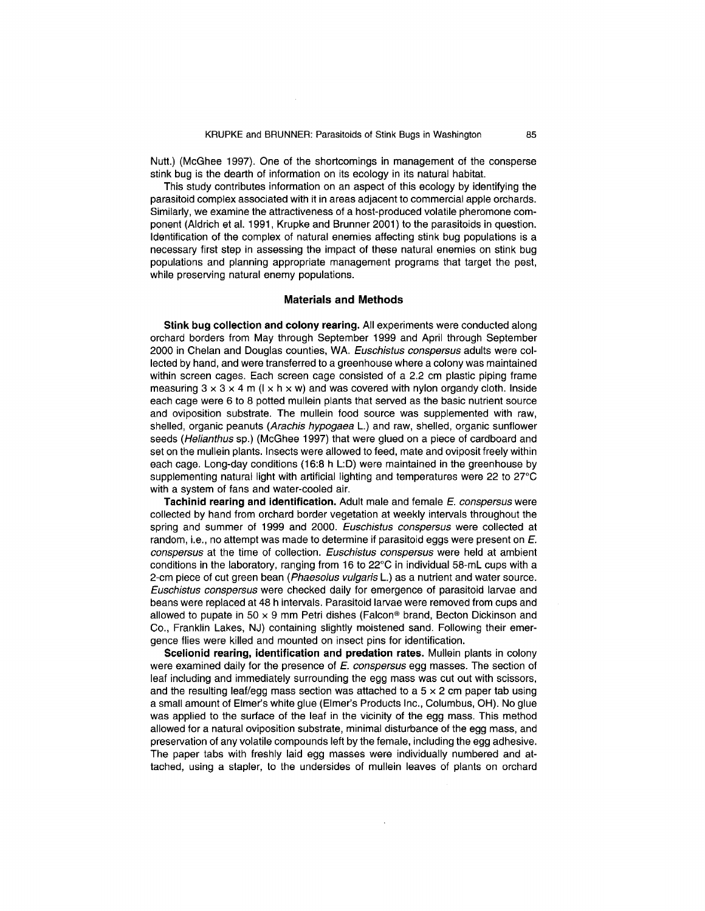Nutt.) (McGhee 1997). One of the shortcomings in management of the consperse stink bug is the dearth of information on its ecology in its natural habitat.

This study contributes information on an aspect of this ecology by identifying the parasitoid complex associated with it in areas adjacent to commercial apple orchards. Similarly, we examine the attractiveness of a host-produced volatile pheromone component (Aldrich et al. 1991, Krupke and Brunner 2001) to the parasitoids in question. Identification of the complex of natural enemies affecting stink bug populations is a necessary first step in assessing the impact of these natural enemies on stink bug populations and planning appropriate management programs that target the pest, while preserving natural enemy populations.

## **Materials and Methods**

**Stink bug collection and colony rearing.** All experiments were conducted along orchard borders from May through September 1999 and April through September 2000 in Chelan and Douglas counties, WA. Euschistus conspersus adults were collected by hand, and were transferred to a greenhouse where a colony was maintained within screen cages. Each screen cage consisted of a 2.2 em plastic piping frame measuring  $3 \times 3 \times 4$  m ( $1 \times h \times w$ ) and was covered with nylon organdy cloth. Inside each cage were 6 to 8 potted mullein plants that served as the basic nutrient source and oviposition substrate. The mullein food source was supplemented with raw, shelled, organic peanuts (Arachis hypogaea L.) and raw, shelled, organic sunflower seeds (Helianthus sp.) (McGhee 1997) that were glued on a piece of cardboard and set on the mullein plants. Insects were allowed to feed, mate and oviposit freely within each cage. Long-day conditions (16:8 h L:D) were maintained in the greenhouse by supplementing natural light with artificial lighting and temperatures were 22 to 27°C with a system of fans and water-cooled air.

**Tachinid rearing and identification.** Adult male and female *E.* conspersus were collected by hand from orchard border vegetation at weekly intervals throughout the spring and summer of 1999 and 2000. Euschistus conspersus were collected at random, i.e., no attempt was made to determine if parasitoid eggs were present on *E.*  conspersus at the time of collection. Euschistus conspersus were held at ambient conditions in the laboratory, ranging from 16 to 22°C in individual 58-mL cups with a 2-cm piece of cut green bean (Phaesolus vulgaris L.) as a nutrient and water source. Euschistus conspersus were checked daily for emergence of parasitoid larvae and beans were replaced at 48 h intervals. Parasitoid larvae were removed from cups and allowed to pupate in 50  $\times$  9 mm Petri dishes (Falcon® brand, Becton Dickinson and Co., Franklin Lakes, NJ) containing slightly moistened sand. Following their emergence flies were killed and mounted on insect pins for identification.

**Scelionid rearing, identification and predation rates.** Mullein plants in colony were examined daily for the presence of *E.* conspersus egg masses. The section of leaf including and immediately surrounding the egg mass was cut out with scissors, and the resulting leaf/egg mass section was attached to a  $5 \times 2$  cm paper tab using a small amount of Elmer's white glue (Elmer's Products Inc., Columbus, OH). No glue was applied to the surface of the leaf in the vicinity of the egg mass. This method allowed for a natural oviposition substrate, minimal disturbance of the egg mass, and preservation of any volatile compounds left by the female, including the egg adhesive. The paper tabs with freshly laid egg masses were individually numbered and attached, using a stapler, to the undersides of mullein leaves of plants on orchard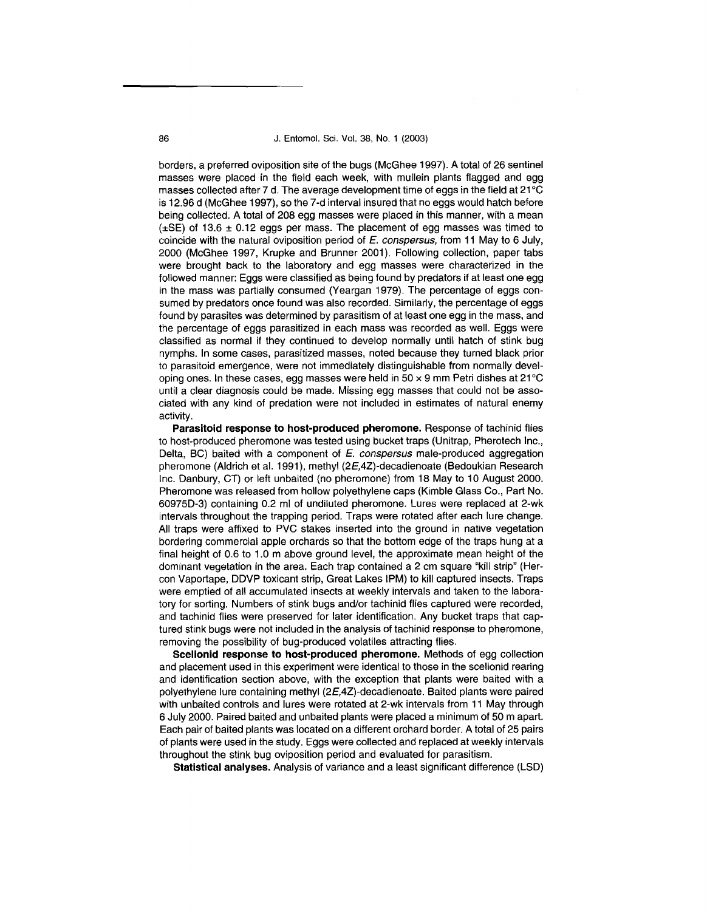86 J. Entomol. Sci. Vol. 38, No. 1 (2003)

borders, a preferred oviposition site of the bugs (McGhee 1997). A total of 26 sentinel masses were placed in the field each week, with mullein plants flagged and egg masses collected after 7 d. The average development time of eggs in the field at  $21^{\circ}$ C is 12.96 d (McGhee 1997), so the 7-d interval insured that no eggs would hatch before being collected. A total of 208 egg masses were placed in this manner, with a mean  $(\pm$ SE) of 13.6  $\pm$  0.12 eggs per mass. The placement of egg masses was timed to coincide with the natural oviposition period of *E.* conspersus, from 11 May to 6 July, 2000 (McGhee 1997, Krupke and Brunner 2001). Following collection, paper tabs were brought back to the laboratory and egg masses were characterized in the followed manner: Eggs were classified as being found by predators if at least one egg in the mass was partially consumed (Yeargan 1979). The percentage of eggs consumed by predators once found was also recorded. Similarly, the percentage of eggs found by parasites was determined by parasitism of at least one egg in the mass, and the percentage of eggs parasitized in each mass was recorded as well. Eggs were classified as normal if they continued to develop normally until hatch of stink bug nymphs. In some cases, parasitized masses, noted because they turned black prior to parasitoid emergence, were not immediately distinguishable from normally developing ones. In these cases, egg masses were held in  $50 \times 9$  mm Petri dishes at 21 $^{\circ}$ C until a clear diagnosis could be made. Missing egg masses that could not be associated with any kind of predation were not included in estimates of natural enemy activity.

**Parasitoid response to host-produced pheromone.** Response of tachinid flies to host-produced pheromone was tested using bucket traps (Unitrap, Pherotech Inc., Delta, BC) baited with a component of E. conspersus male-produced aggregation pheromone (Aldrich et al. 1991), methyl (2E,4Z)-decadienoate (Bedoukian Research Inc. Danbury, CT) or left unbaited (no pheromone) from 18 May to 10 August 2000. Pheromone was released from hollow polyethylene caps (Kimble Glass Co., Part No. 60975D-3) containing 0.2 ml of undiluted pheromone. Lures were replaced at 2-wk intervals throughout the trapping period. Traps were rotated after each lure change. All traps were affixed to PVC stakes inserted into the ground in native vegetation bordering commercial apple orchards so that the bottom edge of the traps hung at a final height of 0.6 to 1.0 m above ground level, the approximate mean height of the dominant vegetation in the area. Each trap contained a 2 em square "kill strip" (Hercon Vaportape, DDVP toxicant strip, Great Lakes IPM) to kill captured insects. Traps were emptied of all accumulated insects at weekly intervals and taken to the laboratory for sorting. Numbers of stink bugs and/or tachinid flies captured were recorded, and tachinid flies were preserved for later identification. Any bucket traps that captured stink bugs were not included in the analysis of tachinid response to pheromone, removing the possibility of bug-produced volatiles attracting flies.

**Scelionid response to host-produced pheromone.** Methods of egg collection and placement used in this experiment were identical to those in the scelionid rearing and identification section above, with the exception that plants were baited with a polyethylene lure containing methyl (2E,4Z)-decadienoate. Baited plants were paired with unbaited controls and lures were rotated at 2-wk intervals from 11 May through 6 July 2000. Paired baited and unbaited plants were placed a minimum of 50 m apart. Each pair of baited plants was located on a different orchard border. A total of 25 pairs of plants were used in the study. Eggs were collected and replaced at weekly intervals throughout the stink bug oviposition period and evaluated for parasitism.

**Statistical analyses.** Analysis of variance and a least significant difference (LSD)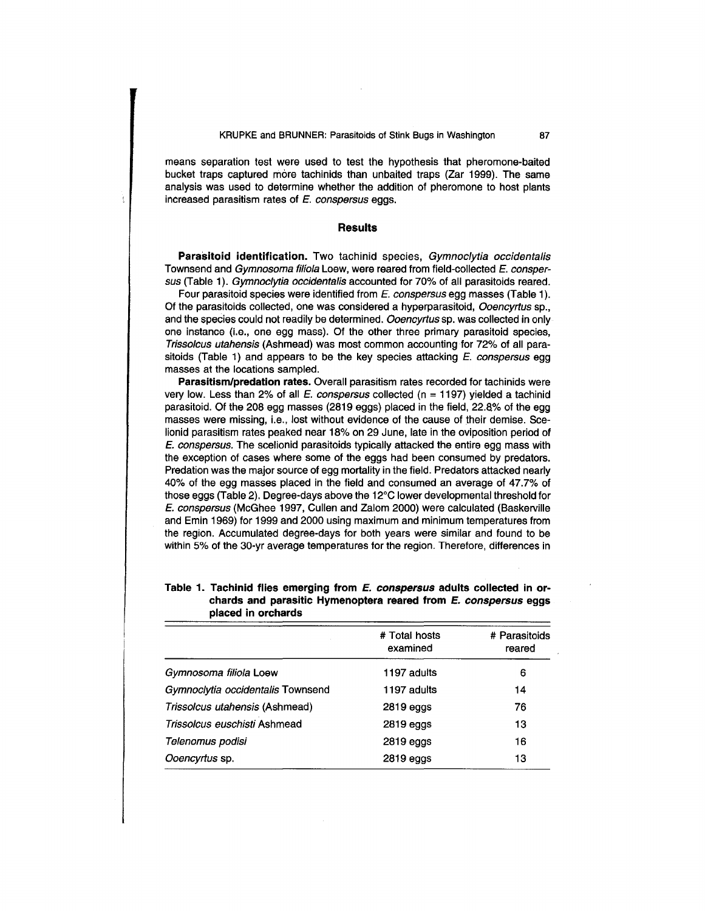means separation test were used to test the hypothesis that pheromone-baited bucket traps captured more tachinids than unbaited traps (Zar 1999). The same analysis was used to determine whether the addition of pheromone to host plants increased parasitism rates of  $E$ . conspersus eggs.

## **Results**

Parasitoid identification. Two tachinid species, Gymnoclytia occidentalis Townsend and Gymnosoma filiola Loew, were reared from field-collected E. conspersus (Table 1). Gymnoclytia occidentalis accounted for 70% of all parasitoids reared.

Four parasitoid species were identified from E. conspersus egg masses (Table 1). Of the parasitoids collected, one was considered a hyperparasitoid, Ooencyrtus sp., and the species could not readily be determined. Ooencyrtus sp. was collected in only one instance (i.e., one egg mass). Of the other three primary parasitoid species, Trissolcus utahensis (Ashmead) was most common accounting for 72% of all parasitoids (Table 1) and appears to be the key species attacking  $E$ . conspersus egg masses at the locations sampled.

**Parasitism/predation rates.** Overall parasitism rates recorded for tachinids were very low. Less than 2% of all E. conspersus collected ( $n = 1197$ ) yielded a tachinid parasitoid. Of the 208 egg masses (2819 eggs) placed in the field, 22.8% of the egg masses were missing, i.e., lost without evidence of the cause of their demise. Scelionid parasitism rates peaked near 18% on 29 June, late in the oviposition period of E. conspersus. The scelionid parasitoids typically attacked the entire egg mass with the exception of cases where some of the eggs had been consumed by predators. Predation was the major source of egg mortality in the field. Predators attacked nearly 40% of the egg masses placed in the field and consumed an average of 47.7% of those eggs (Table 2). Degree-days above the 12°C lower developmental threshold for E. conspersus (McGhee 1997, Cullen and Zalom 2000) were calculated (Baskerville and Emin 1969) for 1999 and 2000 using maximum and minimum temperatures from the region. Accumulated degree-days for both years were similar and found to be within 5% of the 30-yr average temperatures for the region. Therefore, differences in

|                                   | # Total hosts<br>examined | # Parasitoids<br>reared |  |
|-----------------------------------|---------------------------|-------------------------|--|
| Gymnosoma filiola Loew            | 1197 adults               | 6                       |  |
| Gymnoclytia occidentalis Townsend | 1197 adults               | 14                      |  |
| Trissolcus utahensis (Ashmead)    | 2819 eggs                 | 76                      |  |
| Trissolcus euschisti Ashmead      | 2819 eggs                 | 13                      |  |
| Telenomus podisi                  | 2819 eggs                 | 16                      |  |
| Ooencyrtus sp.                    | 2819 eggs                 | 13                      |  |

# **Table 1. Tachinid flies emerging from E. conspersus adults collected in orchards and parasitic Hymenoptera reared from E. conspersus eggs placed in orchards**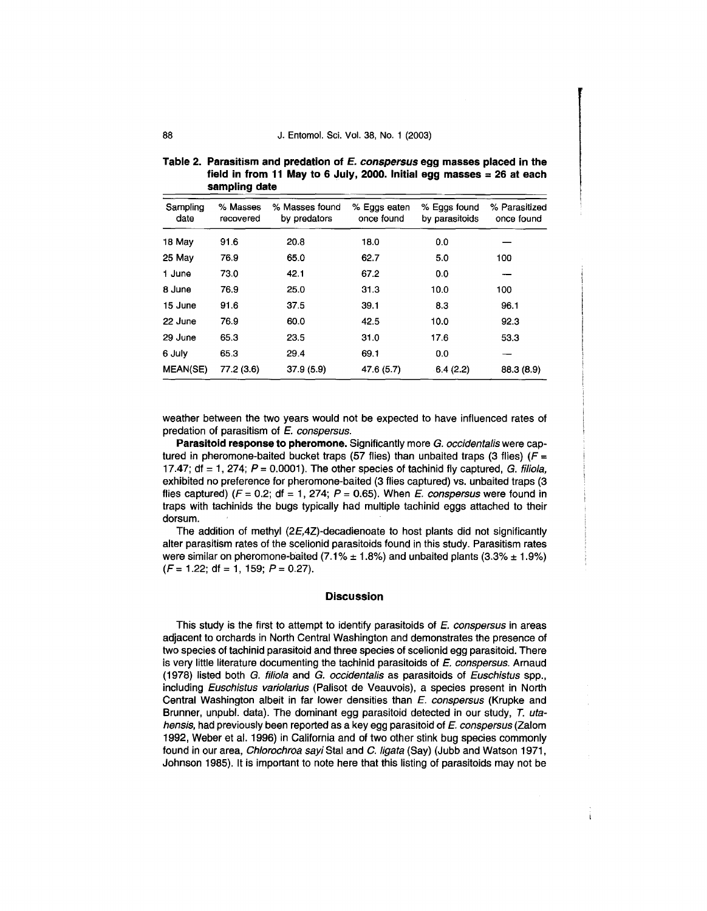#### 88 J. Entomol. Sci. Vol. 38, No. 1 (2003)

| aanping vale     |                       |                                |                            |                                |                             |  |
|------------------|-----------------------|--------------------------------|----------------------------|--------------------------------|-----------------------------|--|
| Sampling<br>date | % Masses<br>recovered | % Masses found<br>by predators | % Eggs eaten<br>once found | % Eggs found<br>by parasitoids | % Parasitized<br>once found |  |
| 18 May           | 91.6                  | 20.8                           | 18.0                       | 0 <sub>0</sub>                 |                             |  |
| 25 May           | 76.9                  | 65.0                           | 62.7                       | 5.0                            | 100                         |  |
| 1 June           | 73.0                  | 42.1                           | 67.2                       | 0.0                            |                             |  |
| 8 June           | 76.9                  | 25.0                           | 31.3                       | 10.0                           | 100                         |  |
| 15 June          | 91.6                  | 37.5                           | 39.1                       | 8.3                            | 96.1                        |  |
| 22 June          | 76.9                  | 60.0                           | 42.5                       | 10.0                           | 92.3                        |  |
| 29 June          | 65.3                  | 23.5                           | 31.0                       | 17.6                           | 53.3                        |  |
| 6 July           | 65.3                  | 29.4                           | 69.1                       | 0.0                            |                             |  |
| <b>MEAN(SE)</b>  | 77.2(3.6)             | 37.9(5.9)                      | 47.6 (5.7)                 | 6.4(2.2)                       | 88.3 (8.9)                  |  |

**Table 2. Parasitism and predation of E. conspersus egg masses placed in the field in from 11 May to 6 July, 2000. Initial egg masses= 26 at each sampling date** 

weather between the two years would not be expected to have influenced rates of predation of parasitism of *E.* conspersus.

**Parasitoid response to pheromone.** Significantly more G. occidentalis were captured in pheromone-baited bucket traps (57 flies) than unbaited traps (3 flies) ( $F =$ 17.47; df = 1, 274;  $P = 0.0001$ ). The other species of tachinid fly captured, G. filiola, exhibited no preference for pheromone-baited (3 flies captured) vs. unbaited traps (3 flies captured) ( $F = 0.2$ ; df = 1, 274;  $P = 0.65$ ). When *E. conspersus* were found in traps with tachinids the bugs typically had multiple tachinid eggs attached to their dorsum.

The addition of methyl (2E,4Z)-decadienoate to host plants did not significantly alter parasitism rates of the scelionid parasitoids found in this study. Parasitism rates were similar on pheromone-baited (7.1%  $\pm$  1.8%) and unbaited plants (3.3%  $\pm$  1.9%)  $(F = 1.22; df = 1, 159; P = 0.27).$ 

#### **Discussion**

This study is the first to attempt to identify parasitoids of *E.* conspersus in areas adjacent to orchards in North Central Washington and demonstrates the presence of two species of tachinid parasitoid and three species of scelionid egg parasitoid. There is very little literature documenting the tachinid parasitoids of *E.* conspersus. Arnaud (1978) listed both G. filiola and G. occidentalis as parasitoids of Euschistus spp., including Euschistus variolarius (Palisot de Veauvois), a species present in North Central Washington albeit in far lower densities than *E.* conspersus (Krupke and Brunner, unpubl. data). The dominant egg parasitoid detected in our study, *T.* utahensis, had previously been reported as a key egg parasitoid of *E.* conspersus (Zalom 1992, Weber et al. 1996) in California and of two other stink bug species commonly found in our area, Chlorochroa sayi Stal and C. ligata (Say) (Jubb and Watson 1971, Johnson 1985). It is important to note here that this listing of parasitoids may not be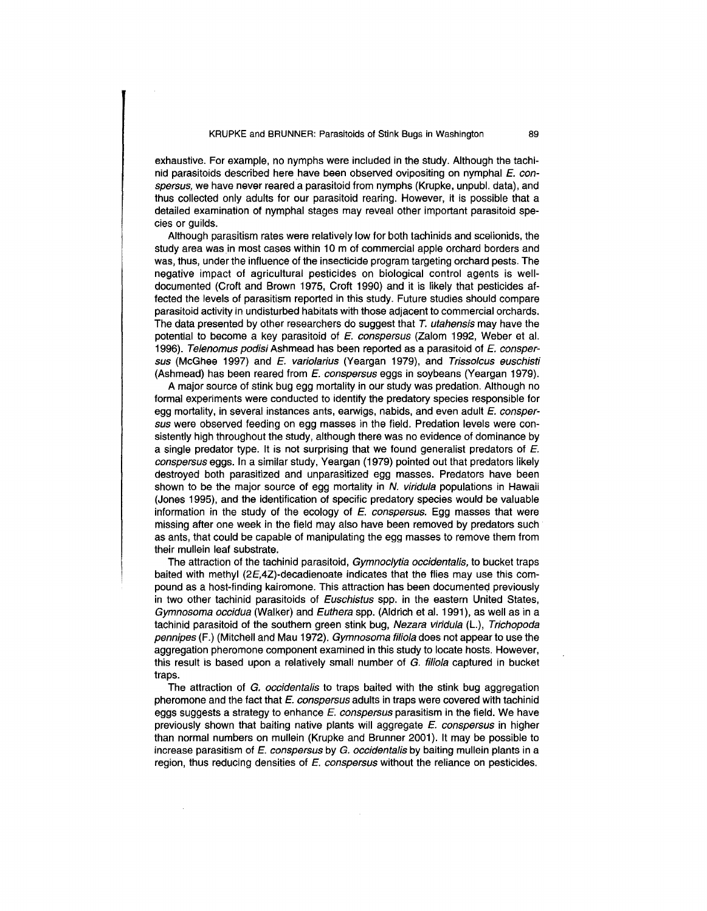exhaustive. For example, no nymphs were included in the study. Although the tachinid parasitoids described here have been observed ovipositing on nymphal *E. con*spersus, we have never reared a parasitoid from nymphs (Krupke, unpubl. data), and thus collected only adults for our parasitoid rearing. However, it is possible that a detailed examination of nymphal stages may reveal other important parasitoid species or guilds.

Although parasitism rates were relatively low for both tachinids and scelionids, the study area was in most cases within 10 m of commercial apple orchard borders and was, thus, under the influence of the insecticide program targeting orchard pests. The negative impact of agricultural pesticides on biological control agents is welldocumented (Croft and Brown 1975, Croft 1990) and it is likely that pesticides affected the levels of parasitism reported in this study. Future studies should compare parasitoid activity in undisturbed habitats with those adjacent to commercial orchards. The data presented by other researchers do suggest that T. utahensis may have the potential to become a key parasitoid of *E.* conspersus (Zalom 1992, Weber et al. 1996). Te/enomus podisi Ashmead has been reported as a parasitoid of *E.* conspersus (McGhee 1997) and *E.* variolarius (Yeargan 1979), and Trissolcus euschisti (Ashmead) has been reared from *E.* conspersus eggs in soybeans (Yeargan 1979).

A major source of stink bug egg mortality in our study was predation. Although no formal experiments were conducted to identify the predatory species responsible for egg mortality, in several instances ants, earwigs, nabids, and even adult *E.* conspersus were observed feeding on egg masses in the field. Predation levels were consistently high throughout the study, although there was no evidence of dominance by a single predator type. It is not surprising that we found generalist predators of *E.*  conspersus eggs. In a similar study, Yeargan (1979) pointed out that predators likely destroyed both parasitized and unparasitized egg masses. Predators have been shown to be the major source of egg mortality in  $N$ . viridula populations in Hawaii (Jones 1995), and the identification of specific predatory species would be valuable information in the study of the ecology of *E.* conspersus. Egg masses that were missing after one week in the field may also have been removed by predators such as ants, that could be capable of manipulating the egg masses to remove them from their mullein leaf substrate.

The attraction of the tachinid parasitoid, Gymnoclytia occidentalis, to bucket traps baited with methyl (2E,4Z)-decadienoate indicates that the flies may use this compound as a host-finding kairomone. This attraction has been documented previously in two other tachinid parasitoids of Euschistus spp. in the eastern United States, Gymnosoma occidua (Walker) and Euthera spp. (Aldrich et al. 1991), as well as in a tachinid parasitoid of the southern green stink bug, Nezara viridula (L.), Trichopoda pennipes (F.) (Mitchell and Mau 1972). Gymnosoma filiola does not appear to use the aggregation pheromone component examined in this study to locate hosts. However, this result is based upon a relatively small number of G. filiola captured in bucket traps.

The attraction of G. occidentalis to traps baited with the stink bug aggregation pheromone and the fact that *E.* conspersus adults in traps were covered with tachinid eggs suggests a strategy to enhance *E.* conspersus parasitism in the field. We have previously shown that baiting native plants will aggregate *E.* conspersus in higher than normal numbers on mullein (Krupke and Brunner 2001). It may be possible to increase parasitism of *E.* conspersus by G. occidentalis by baiting mullein plants in a region, thus reducing densities of *E.* conspersus without the reliance on pesticides.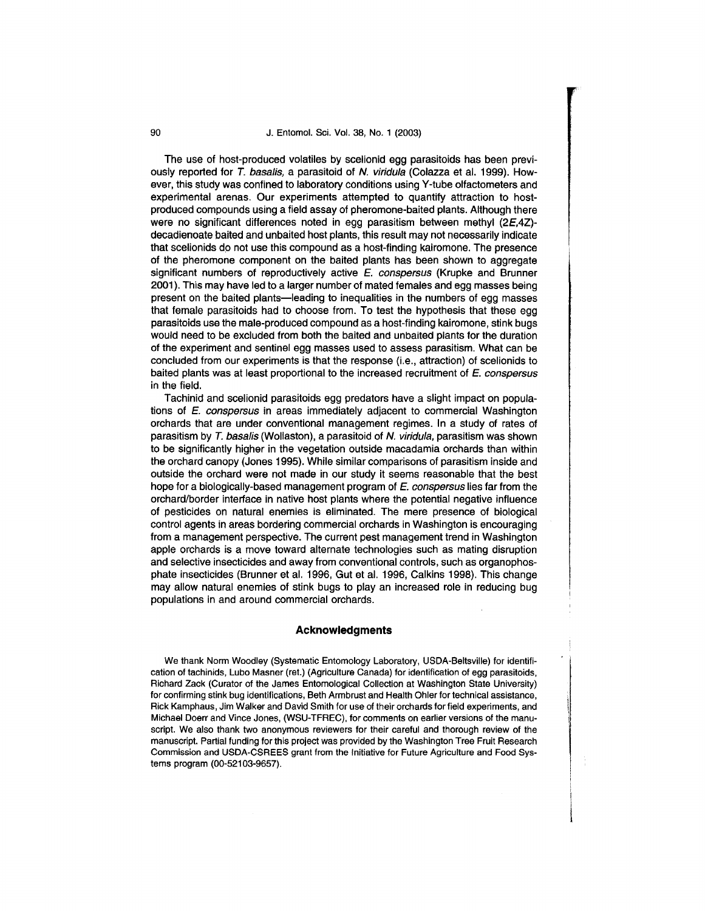## 90 J. Entomol. Sci. Vol. 38, No. 1 (2003)

The use of host-produced volatiles by scelionid egg parasitoids has been previously reported for T. basalis, a parasitoid of N. viridula (Colazza et al. 1999). However, this study was confined to laboratory conditions using Y-tube olfactometers and experimental arenas. Our experiments attempted to quantify attraction to hostproduced compounds using a field assay of pheromone-baited plants. Although there were no significant differences noted in egg parasitism between methyl (2£,4Z) decadienoate baited and unbaited host plants, this result may not necessarily indicate that scelionids do not use this compound as a host-finding kairomone. The presence of the pheromone component on the baited plants has been shown to aggregate significant numbers of reproductively active  $E$ . conspersus (Krupke and Brunner 2001). This may have led to a larger number of mated females and egg masses being present on the baited plants-leading to inequalities in the numbers of egg masses that female parasitoids had to choose from. To test the hypothesis that these egg parasitoids use the male-produced compound as a host-finding kairomone, stink bugs would need to be excluded from both the baited and unbaited plants for the duration of the experiment and sentinel egg masses used to assess parasitism. What can be concluded from our experiments is that the response (i.e., attraction) of scelionids to baited plants was at least proportional to the increased recruitment of  $E$ . conspersus in the field.

Tachinid and scelionid parasitoids egg predators have a slight impact on populations of E. conspersus in areas immediately adjacent to commercial Washington orchards that are under conventional management regimes. In a study of rates of parasitism by T. basalis (Wollaston), a parasitoid of N. viridula, parasitism was shown to be significantly higher in the vegetation outside macadamia orchards than within the orchard canopy (Jones 1995). While similar comparisons of parasitism inside and outside the orchard were not made in our study it seems reasonable that the best hope for a biologically-based management program of E, conspersus lies far from the orchard/border interface in native host plants where the potential negative influence of pesticides on natural enemies is eliminated. The mere presence of biological control agents in areas bordering commercial orchards in Washington is encouraging from a management perspective. The current pest management trend in Washington apple orchards is a move toward alternate technologies such as mating disruption and selective insecticides and away from conventional controls, such as organophosphate insecticides (Brunner et al. 1996, Gut et al. 1996, Calkins 1998). This change may allow natural enemies of stink bugs to play an increased role in reducing bug populations in and around commercial orchards.

#### **Acknowledgments**

We thank Norm Woodley (Systematic Entomology Laboratory, USDA-Beltsville) for identification of tachinids, Lubo Masner (ret.) (Agriculture Canada) for identification of egg parasitoids, Richard Zack (Curator of the James Entomological Collection at Washington State University) for confirming stink bug identifications, Beth Armbrust and Health Ohler for technical assistance, Rick Kamphaus, Jim Walker and David Smith for use of their orchards for field experiments, and Michael Doerr and Vince Jones, (WSU-TFREC), for comments on earlier versions of the manuscript. We also thank two anonymous reviewers for their careful and thorough review of the manuscript. Partial funding for this project was provided by the Washington Tree Fruit Research Commission and USDA-CSREES grant from the Initiative for Future Agriculture and Food Systems program (00-52103-9657).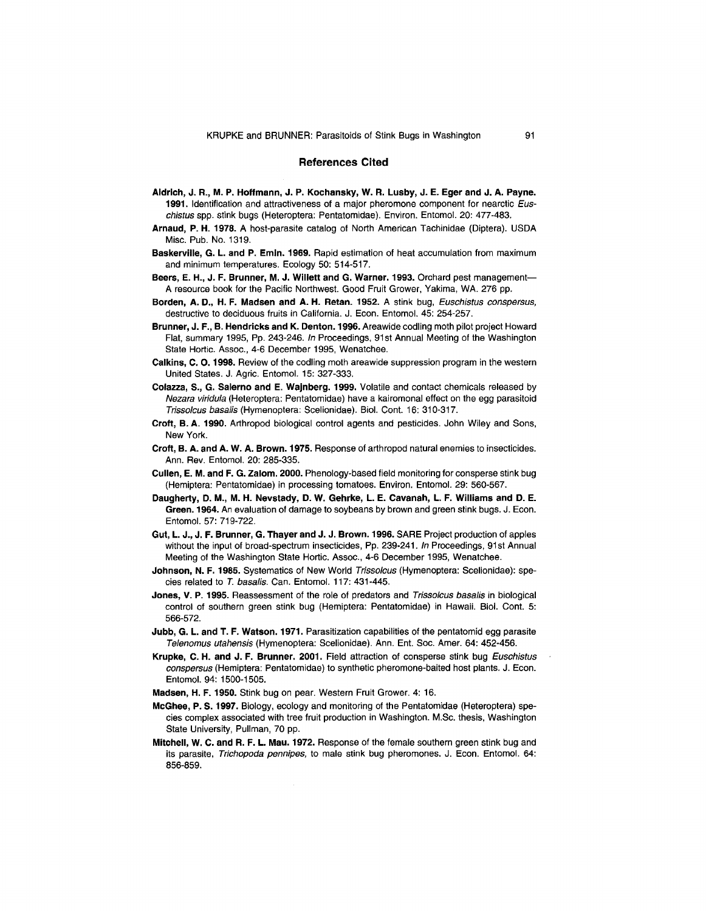#### **References Cited**

- **Aldrich, J. R., M. P. Hoffmann, J. P. Kochansky, W. R. Lusby, J. E. Eger and J. A. Payne. 1991.** Identification and attractiveness of a major pheromone component for nearctic Euschistus spp. stink bugs (Heteroptera: Pentatomidae). Environ. Entomol. 20: 477-483.
- **Arnaud, P. H. 1978.** A host-parasite catalog of North American Tachinidae (Diptera). USDA Misc. Pub. No. 1319.
- **Baskerville, G. L. and P. Emln. 1969.** Rapid estimation of heat accumulation from maximum and minimum temperatures. Ecology 50: 514-517.
- **Beers, E. H., J. F. Brunner, M. J. Willett and G. Warner. 1993.** Orchard pest management-A resource book for the Pacific Northwest. Good Fruit Grower, Yakima, WA. 276 pp.
- **Borden, A. D., H. F. Madsen and A. H. Retan. 1952.** A stink bug, Euschistus conspersus, destructive to deciduous fruits in California. J. Econ. Entomol. 45: 254-257.
- **Brunner, J. F., B. Hendricks and K. Denton. 1996.** Areawide codling moth pilot project Howard Flat, summary 1995, Pp. 243-246. In Proceedings, 91st Annual Meeting of the Washington State Hortic. Assoc., 4-6 December 1995, Wenatchee.
- **Calkins, C. 0. 1998.** Review of the codling moth areawide suppression program in the western United States. J. Agric. Entomol. 15: 327-333.
- **Colazza, S., G. Salerno and E. Wajnberg. 1999.** Volatile and contact chemicals released by Nezara viridula (Heteroptera: Pentatomidae) have a kairomonal effect on the egg parasitoid Trissolcus basalis (Hymenoptera: Scelionidae). Bioi. Cont. 16: 310·317.
- **Croft, B. A. 1990.** Arthropod biological control agents and pesticides. John Wiley and Sons, New York.
- **Croft, B. A. and A. W. A. Brown. 1975.** Response of arthropod natural enemies to insecticides. Ann. Rev. Entomol. 20: 285-335.
- **Cullen, E. M. and F. G. Zalom. 2000.** Phenology-based field monitoring for consperse stink bug (Hemiptera: Pentatomidae) in processing tomatoes. Environ. Entomol. 29: 560-567.
- **Daugherty, D. M., M. H. Nevstady, D. W. Gehrke, L. E. Cavanah, L. F. Williams and D. E. Green. 1964.** An evaluation of damage to soybeans by brown and green stink bugs. J. Econ. Entomol. 57: 719-722.
- **Gut, L. J., J. F. Brunner, G. Thayer and J. J. Brown.1996.** SARE Project production of apples without the input of broad-spectrum insecticides, Pp. 239-241. In Proceedings, 91st Annual Meeting of the Washington State Hortic. Assoc., 4-6 December 1995, Wenatchee.
- **Johnson, N. F. 1985.** Systematics of New World Trissolcus (Hymenoptera: Scelionidae): species related to *T.* basalis. Can. Entomol. 117: 431-445.
- **Jones, V. P. 1995.** Reassessment of the role of predators and Trissolcus basalis in biological control of southern green stink bug (Hemiptera: Pentatomidae) in Hawaii. Bioi. Cont. 5: 566-572.
- **Jubb, G. L. and T. F. Watson. 1971.** Parasitization capabilities of the pentatomid egg parasite Telenomus utahensis (Hymenoptera: Scelionidae). Ann. Ent. Soc. Amer. 64: 452-456.
- **Krupke, C. H. and J. F. Brunner. 2001.** Field attraction of consperse stink bug Euschistus conspersus (Hemiptera: Pentatomidae) to synthetic pheromone-baited host plants. J. Econ. Entomol. 94: 1500-1505.
- **Madsen, H. F. 1950.** Stink bug on pear. Western Fruit Grower. 4: 16.
- **McGhee, P. S. 1997.** Biology, ecology and monitoring of the Pentatomidae (Heteroptera) species complex associated with tree fruit production in Washington. M.Sc. thesis, Washington State University, Pullman, 70 pp.
- **Mitchell, W. C. and R. F. L. Mau. 1972.** Response of the female southern green stink bug and its parasite, Trichopoda pennipes, to male stink bug pheromones. J. Econ. Entomol. 64: 856-859.